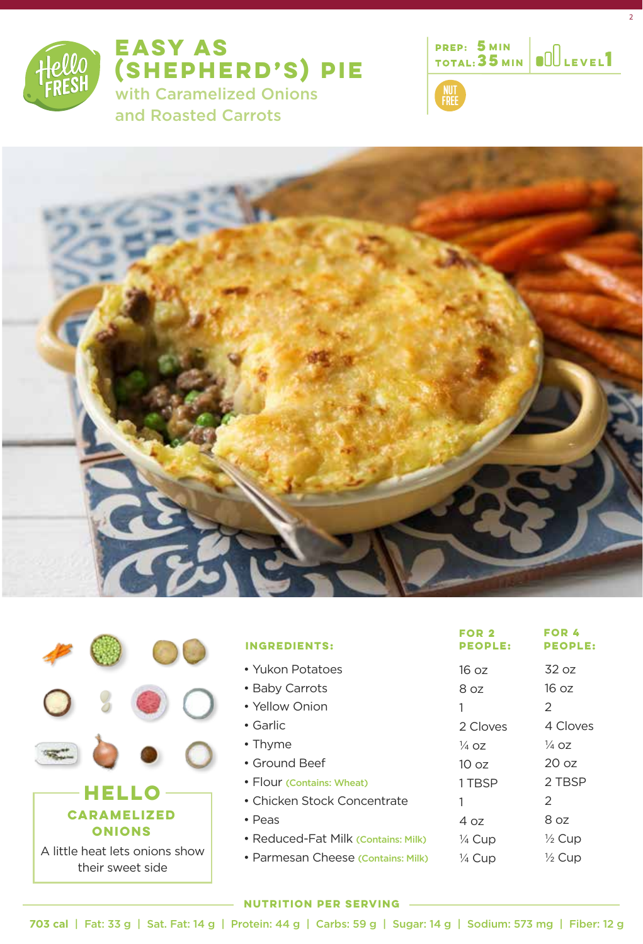

**EASY AS (SHEPHERD'S) PIE**  with Caramelized Onions and Roasted Carrots



2







| <b>INGREDIENTS:</b>                 | FOR 2<br><b>PEOPLE:</b> | FOR 4<br><b>PEOPLE:</b> |
|-------------------------------------|-------------------------|-------------------------|
| • Yukon Potatoes                    | 16 oz                   | 32 oz                   |
| • Baby Carrots                      | 8 oz                    | 16 oz                   |
| • Yellow Onion                      | 1                       | 2                       |
| $\bullet$ Garlic                    | 2 Cloves                | 4 Cloves                |
| $\cdot$ Thyme                       | $\frac{1}{4}$ 07        | <sup>1</sup> /4 OZ      |
| • Ground Beef                       | 1002                    | 20 <sub>oz</sub>        |
| • Flour (Contains: Wheat)           | 1 TBSP                  | 2 TBSP                  |
| • Chicken Stock Concentrate         |                         | 2                       |
| $\cdot$ Peas                        | 4 oz                    | 8 oz                    |
| • Reduced-Fat Milk (Contains: Milk) | 1⁄4 Cup                 | $\frac{1}{2}$ Cup       |
| • Parmesan Cheese (Contains: Milk)  | 1⁄4 Cup                 | $\frac{1}{2}$ Cup       |

### **NUTRITION PER SERVING**